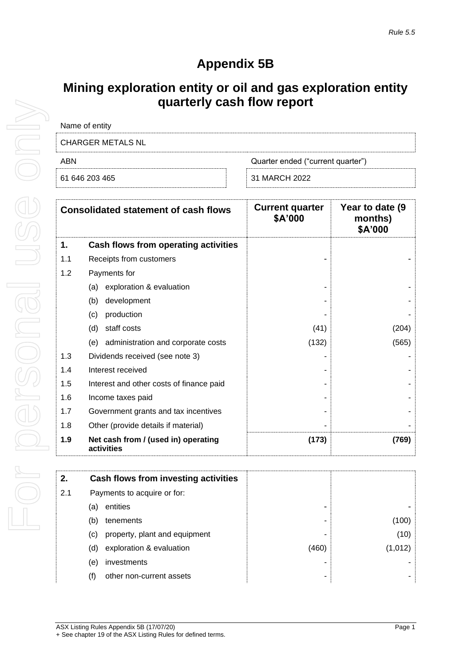## **Appendix 5B**

## **Mining exploration entity or oil and gas exploration entity quarterly cash flow report**

| Quarter ended ("current quarter") |
|-----------------------------------|
| 31 MARCH 2022                     |
|                                   |

| <b>Consolidated statement of cash flows</b> |                                                   | <b>Current quarter</b><br>\$A'000 | Year to date (9<br>months)<br>\$A'000 |
|---------------------------------------------|---------------------------------------------------|-----------------------------------|---------------------------------------|
| 1.                                          | Cash flows from operating activities              |                                   |                                       |
| 1.1                                         | Receipts from customers                           |                                   |                                       |
| 1.2                                         | Payments for                                      |                                   |                                       |
|                                             | exploration & evaluation<br>(a)                   |                                   |                                       |
|                                             | development<br>(b)                                |                                   |                                       |
|                                             | production<br>(c)                                 |                                   |                                       |
|                                             | staff costs<br>(d)                                | (41)                              | (204)                                 |
|                                             | administration and corporate costs<br>(e)         | (132)                             | (565)                                 |
| 1.3                                         | Dividends received (see note 3)                   |                                   |                                       |
| 1.4                                         | Interest received                                 |                                   |                                       |
| 1.5                                         | Interest and other costs of finance paid          |                                   |                                       |
| 1.6                                         | Income taxes paid                                 |                                   |                                       |
| 1.7                                         | Government grants and tax incentives              |                                   |                                       |
| 1.8                                         | Other (provide details if material)               |                                   |                                       |
| 1.9                                         | Net cash from / (used in) operating<br>activities | (173)                             | (769)                                 |

| 2.  | Cash flows from investing activities |       |         |
|-----|--------------------------------------|-------|---------|
| 2.1 | Payments to acquire or for:          |       |         |
|     | entities<br>(a)                      |       |         |
|     | (b)<br>tenements                     |       | (100)   |
|     | property, plant and equipment<br>(C) |       | (10)    |
|     | exploration & evaluation<br>(d)      | (460) | (1,012) |
|     | investments<br>(e)                   |       |         |
|     | (f)<br>other non-current assets      | ۰     |         |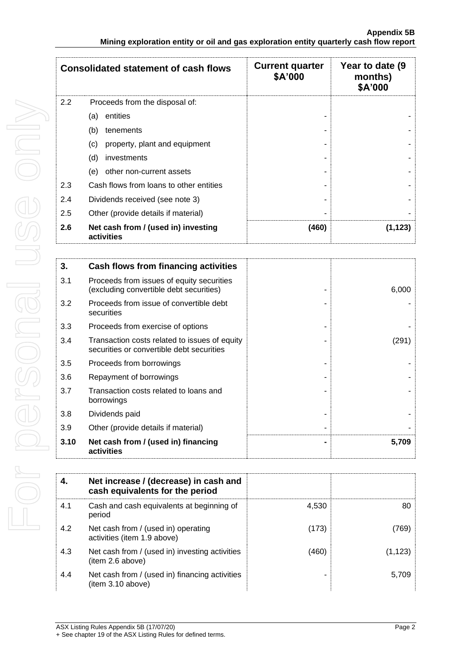| <b>Consolidated statement of cash flows</b> |                                                   | <b>Current quarter</b><br>\$A'000 |         |
|---------------------------------------------|---------------------------------------------------|-----------------------------------|---------|
| 2.2                                         | Proceeds from the disposal of:                    |                                   |         |
|                                             | entities<br>(a)                                   |                                   |         |
|                                             | (b)<br>tenements                                  |                                   |         |
|                                             | (c)<br>property, plant and equipment              |                                   |         |
|                                             | (d)<br>investments                                |                                   |         |
|                                             | other non-current assets<br>(e)                   |                                   |         |
| 2.3                                         | Cash flows from loans to other entities           |                                   |         |
| 2.4                                         | Dividends received (see note 3)                   |                                   |         |
| 2.5                                         | Other (provide details if material)               |                                   |         |
| 2.6                                         | Net cash from / (used in) investing<br>activities | (460)                             | (1,123) |

| 3.   | Cash flows from financing activities                                                       |       |
|------|--------------------------------------------------------------------------------------------|-------|
| 3.1  | Proceeds from issues of equity securities<br>(excluding convertible debt securities)       | 6,000 |
| 3.2  | Proceeds from issue of convertible debt<br>securities                                      |       |
| 3.3  | Proceeds from exercise of options                                                          |       |
| 3.4  | Transaction costs related to issues of equity<br>securities or convertible debt securities | (291) |
| 3.5  | Proceeds from borrowings                                                                   |       |
| 3.6  | Repayment of borrowings                                                                    |       |
| 3.7  | Transaction costs related to loans and<br>borrowings                                       |       |
| 3.8  | Dividends paid                                                                             |       |
| 3.9  | Other (provide details if material)                                                        |       |
| 3.10 | Net cash from / (used in) financing<br>activities                                          | 5,709 |

| 4.  | Net increase / (decrease) in cash and<br>cash equivalents for the period |       |          |
|-----|--------------------------------------------------------------------------|-------|----------|
| 4.1 | Cash and cash equivalents at beginning of<br>period                      | 4,530 | 80       |
| 4.2 | Net cash from / (used in) operating<br>activities (item 1.9 above)       | (173) | (769)    |
| 4.3 | Net cash from / (used in) investing activities<br>(item 2.6 above)       | (460) | (1, 123) |
| 4.4 | Net cash from / (used in) financing activities<br>(item 3.10 above)      |       | 5.709    |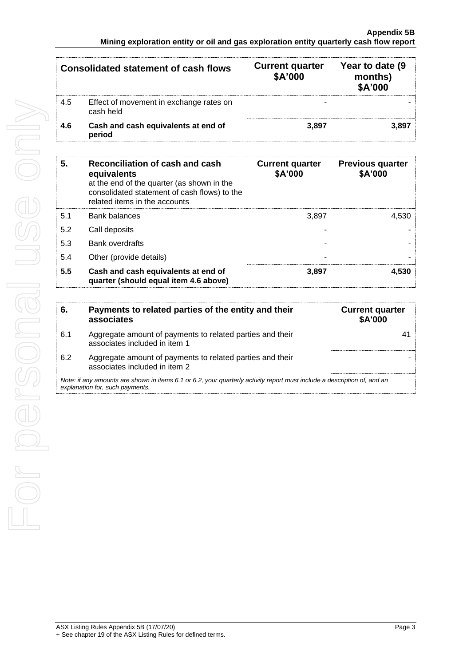| <b>Consolidated statement of cash flows</b> |                                                      | <b>Current quarter</b><br>\$A'000 | Year to date (9)<br>months)<br>\$A'000 |
|---------------------------------------------|------------------------------------------------------|-----------------------------------|----------------------------------------|
| 4.5                                         | Effect of movement in exchange rates on<br>cash held | -                                 |                                        |
| 4.6                                         | Cash and cash equivalents at end of<br>period        | 3.897                             | 3.897                                  |

| 5.  | Reconciliation of cash and cash<br>equivalents<br>at the end of the quarter (as shown in the<br>consolidated statement of cash flows) to the<br>related items in the accounts | <b>Current quarter</b><br>\$A'000 | <b>Previous quarter</b><br>\$A'000 |
|-----|-------------------------------------------------------------------------------------------------------------------------------------------------------------------------------|-----------------------------------|------------------------------------|
| 5.1 | Bank balances                                                                                                                                                                 | 3,897                             | 4.530                              |
| 5.2 | Call deposits                                                                                                                                                                 |                                   |                                    |
| 5.3 | Bank overdrafts                                                                                                                                                               |                                   |                                    |
| 5.4 | Other (provide details)                                                                                                                                                       |                                   |                                    |
| 5.5 | Cash and cash equivalents at end of<br>quarter (should equal item 4.6 above)                                                                                                  | 3,897                             | 4.530                              |

| 6.                                                                                                                                                          | Payments to related parties of the entity and their<br>associates                          | <b>Current quarter</b><br><b>\$A'000</b> |
|-------------------------------------------------------------------------------------------------------------------------------------------------------------|--------------------------------------------------------------------------------------------|------------------------------------------|
| 6.1                                                                                                                                                         | Aggregate amount of payments to related parties and their<br>associates included in item 1 |                                          |
| 6.2                                                                                                                                                         | Aggregate amount of payments to related parties and their<br>associates included in item 2 |                                          |
| Note: if any amounts are shown in items 6.1 or 6.2, your quarterly activity report must include a description of, and an<br>explanation for, such payments. |                                                                                            |                                          |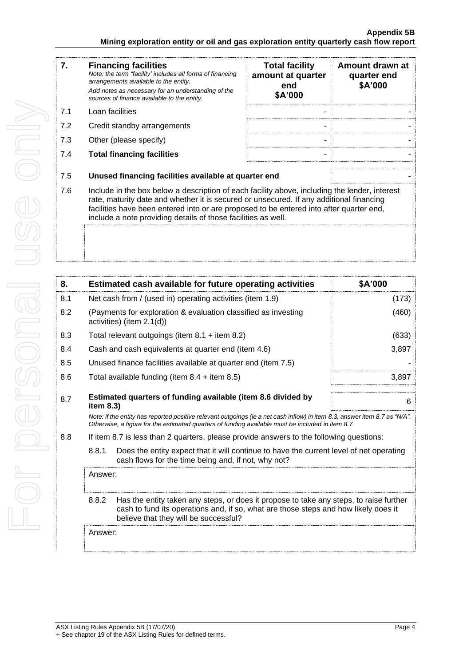| 7.  | <b>Financing facilities</b><br>Note: the term "facility' includes all forms of financing<br>arrangements available to the entity.                                                                                                                                                                                                                    | <b>Total facility</b><br>amount at quarter<br>end | Amount drawn at<br>quarter end<br>\$A'000 |
|-----|------------------------------------------------------------------------------------------------------------------------------------------------------------------------------------------------------------------------------------------------------------------------------------------------------------------------------------------------------|---------------------------------------------------|-------------------------------------------|
|     | Add notes as necessary for an understanding of the<br>sources of finance available to the entity.                                                                                                                                                                                                                                                    | \$A'000                                           |                                           |
| 7.1 | Loan facilities                                                                                                                                                                                                                                                                                                                                      |                                                   |                                           |
| 7.2 | Credit standby arrangements                                                                                                                                                                                                                                                                                                                          |                                                   |                                           |
| 7.3 | Other (please specify)                                                                                                                                                                                                                                                                                                                               |                                                   |                                           |
| 7.4 | <b>Total financing facilities</b>                                                                                                                                                                                                                                                                                                                    | ۰                                                 |                                           |
| 7.5 | Unused financing facilities available at quarter end                                                                                                                                                                                                                                                                                                 |                                                   |                                           |
| 7.6 | Include in the box below a description of each facility above, including the lender, interest<br>rate, maturity date and whether it is secured or unsecured. If any additional financing<br>facilities have been entered into or are proposed to be entered into after quarter end,<br>include a note providing details of those facilities as well. |                                                   |                                           |
|     |                                                                                                                                                                                                                                                                                                                                                      |                                                   |                                           |

| 8.      |              | Estimated cash available for future operating activities                                                                                                                                                                        | \$A'000 |
|---------|--------------|---------------------------------------------------------------------------------------------------------------------------------------------------------------------------------------------------------------------------------|---------|
| 8.1     |              | Net cash from / (used in) operating activities (item 1.9)                                                                                                                                                                       | (173)   |
| 8.2     |              | (Payments for exploration & evaluation classified as investing<br>activities) (item 2.1(d))                                                                                                                                     | (460)   |
| 8.3     |              | Total relevant outgoings (item $8.1 +$ item $8.2$ )                                                                                                                                                                             | (633)   |
| 8.4     |              | Cash and cash equivalents at quarter end (item 4.6)                                                                                                                                                                             | 3,897   |
| 8.5     |              | Unused finance facilities available at quarter end (item 7.5)                                                                                                                                                                   |         |
| 8.6     |              | Total available funding (item $8.4 +$ item $8.5$ )                                                                                                                                                                              | 3,897   |
| 8.7     | item $8.3$ ) | Estimated quarters of funding available (item 8.6 divided by                                                                                                                                                                    | 6       |
|         |              | Note: if the entity has reported positive relevant outgoings (ie a net cash inflow) in item 8.3, answer item 8.7 as "N/A".<br>Otherwise, a figure for the estimated quarters of funding available must be included in item 8.7. |         |
| 8.8     |              | If item 8.7 is less than 2 quarters, please provide answers to the following questions:                                                                                                                                         |         |
|         | 8.8.1        | Does the entity expect that it will continue to have the current level of net operating<br>cash flows for the time being and, if not, why not?                                                                                  |         |
| Answer: |              |                                                                                                                                                                                                                                 |         |
|         | 8.8.2        | Has the entity taken any steps, or does it propose to take any steps, to raise further<br>cash to fund its operations and, if so, what are those steps and how likely does it<br>believe that they will be successful?          |         |
|         | Answer:      |                                                                                                                                                                                                                                 |         |
|         |              |                                                                                                                                                                                                                                 |         |